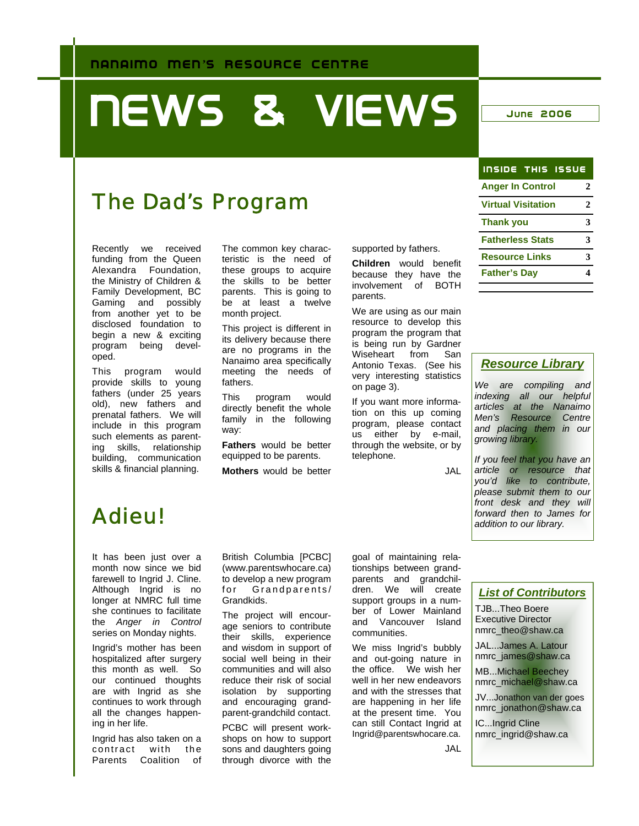# **NEWS & VIEWS JUNE 2006**

### The Dad's Program

Recently we received funding from the Queen Alexandra Foundation, the Ministry of Children & Family Development, BC Gaming and possibly from another yet to be disclosed foundation to begin a new & exciting program being developed.

This program would provide skills to young fathers (under 25 years old), new fathers and prenatal fathers. We will include in this program such elements as parenting skills, relationship building, communication skills & financial planning.

The common key characteristic is the need of these groups to acquire the skills to be better parents. This is going to be at least a twelve month project.

This project is different in its delivery because there are no programs in the Nanaimo area specifically meeting the needs of fathers.

This program would directly benefit the whole family in the following way:

**Fathers** would be better equipped to be parents.

**Mothers** would be better

supported by fathers.

**Children** would benefit because they have the involvement of BOTH parents.

We are using as our main resource to develop this program the program that is being run by Gardner Wiseheart from San Antonio Texas. (See his very interesting statistics on page 3).

If you want more information on this up coming program, please contact us either by e-mail, through the website, or by telephone.

JAL

| <b>INSIDE THIS ISSUE</b>  |              |
|---------------------------|--------------|
| <b>Anger In Control</b>   | 2            |
| <b>Virtual Visitation</b> | $\mathbf{2}$ |
| <b>Thank you</b>          | 3            |
| <b>Fatherless Stats</b>   | 3            |
| <b>Resource Links</b>     | 3            |
| <b>Father's Day</b>       |              |

#### *Resource Library*

*We are compiling and indexing all our helpful articles at the Nanaimo Men's Resource Centre and placing them in our growing library.* 

*If you feel that you have an article or resource that you'd like to contribute, please submit them to our front desk and they will forward then to James for addition to our library.* 

## Adieu!

It has been just over a month now since we bid farewell to Ingrid J. Cline. Although Ingrid is no longer at NMRC full time she continues to facilitate the *Anger in Control*  series on Monday nights.

Ingrid's mother has been hospitalized after surgery this month as well. So our continued thoughts are with Ingrid as she continues to work through all the changes happening in her life.

Ingrid has also taken on a contract with the Parents Coalition of British Columbia [PCBC] (www.parentswhocare.ca) to develop a new program for Grandparents/ Grandkids.

The project will encourage seniors to contribute their skills, experience and wisdom in support of social well being in their communities and will also reduce their risk of social isolation by supporting and encouraging grandparent-grandchild contact.

PCBC will present workshops on how to support sons and daughters going through divorce with the

goal of maintaining relationships between grandparents and grandchildren. We will create support groups in a number of Lower Mainland and Vancouver Island communities.

We miss Ingrid's bubbly and out-going nature in the office. We wish her well in her new endeavors and with the stresses that are happening in her life at the present time. You can still Contact Ingrid at Ingrid@parentswhocare.ca.

#### *List of Contributors*

TJB...Theo Boere Executive Director nmrc\_theo@shaw.ca

JAL...James A. Latour nmrc\_james@shaw.ca

MB...Michael Beechey nmrc\_michael@shaw.ca

JV...Jonathon van der goes nmrc\_jonathon@shaw.ca

IC...Ingrid Cline nmrc\_ingrid@shaw.ca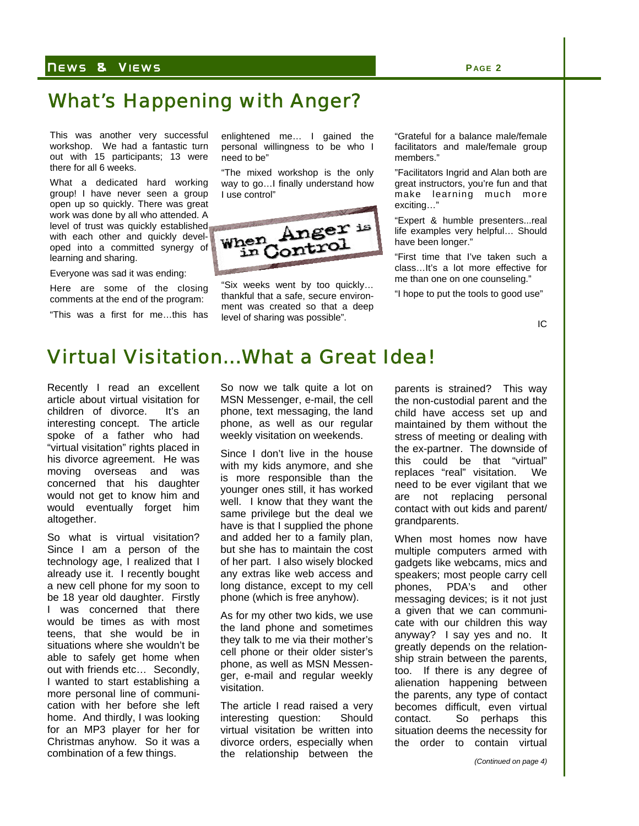#### N EWS & V IEWS **P AGE 2**

#### What's Happening with Anger?

This was another very successful workshop. We had a fantastic turn out with 15 participants; 13 were there for all 6 weeks.

What a dedicated hard working group! I have never seen a group open up so quickly. There was great work was done by all who attended. A level of trust was quickly established with each other and quickly developed into a committed synergy of learning and sharing.

Everyone was sad it was ending:

Here are some of the closing comments at the end of the program:

"This was a first for me…this has

enlightened me… I gained the personal willingness to be who I need to be"

"The mixed workshop is the only way to go…I finally understand how I use control"



"Six weeks went by too quickly… thankful that a safe, secure environment was created so that a deep level of sharing was possible".

"Grateful for a balance male/female facilitators and male/female group members."

"Facilitators Ingrid and Alan both are great instructors, you're fun and that make learning much more exciting…"

"Expert & humble presenters...real life examples very helpful… Should have been longer."

"First time that I've taken such a class…It's a lot more effective for me than one on one counseling."

"I hope to put the tools to good use"

IC

### Virtual Visitation...What a Great Idea!

Recently I read an excellent article about virtual visitation for children of divorce. It's an interesting concept. The article spoke of a father who had "virtual visitation" rights placed in his divorce agreement. He was moving overseas and was concerned that his daughter would not get to know him and would eventually forget him altogether.

So what is virtual visitation? Since I am a person of the technology age, I realized that I already use it. I recently bought a new cell phone for my soon to be 18 year old daughter. Firstly I was concerned that there would be times as with most teens, that she would be in situations where she wouldn't be able to safely get home when out with friends etc… Secondly, I wanted to start establishing a more personal line of communication with her before she left home. And thirdly, I was looking for an MP3 player for her for Christmas anyhow. So it was a combination of a few things.

So now we talk quite a lot on MSN Messenger, e-mail, the cell phone, text messaging, the land phone, as well as our regular weekly visitation on weekends.

Since I don't live in the house with my kids anymore, and she is more responsible than the younger ones still, it has worked well. I know that they want the same privilege but the deal we have is that I supplied the phone and added her to a family plan, but she has to maintain the cost of her part. I also wisely blocked any extras like web access and long distance, except to my cell phone (which is free anyhow).

As for my other two kids, we use the land phone and sometimes they talk to me via their mother's cell phone or their older sister's phone, as well as MSN Messenger, e-mail and regular weekly visitation.

The article I read raised a very interesting question: Should virtual visitation be written into divorce orders, especially when the relationship between the

parents is strained? This way the non-custodial parent and the child have access set up and maintained by them without the stress of meeting or dealing with the ex-partner. The downside of this could be that "virtual" replaces "real" visitation. We need to be ever vigilant that we are not replacing personal contact with out kids and parent/ grandparents.

When most homes now have multiple computers armed with gadgets like webcams, mics and speakers; most people carry cell phones, PDA's and other messaging devices; is it not just a given that we can communicate with our children this way anyway? I say yes and no. It greatly depends on the relationship strain between the parents, too. If there is any degree of alienation happening between the parents, any type of contact becomes difficult, even virtual contact. So perhaps this situation deems the necessity for the order to contain virtual

*(Continued on page 4)*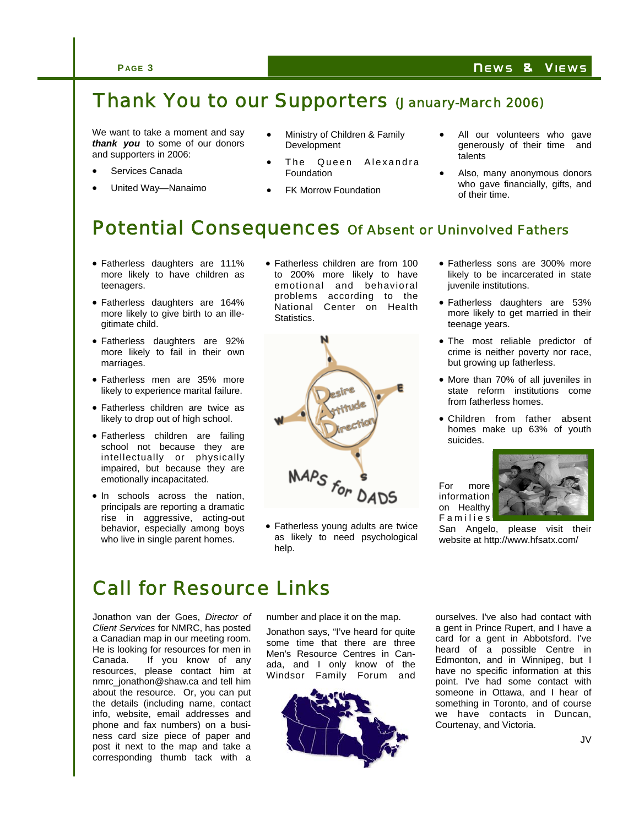#### Thank You to our Supporters (January-March 2006)

We want to take a moment and say *thank you* to some of our donors and supporters in 2006:

- Services Canada
- United Way—Nanaimo
- Ministry of Children & Family Development
- The Queen Alexandra Foundation
- **FK Morrow Foundation**
- All our volunteers who gave generously of their time and talents
- Also, many anonymous donors who gave financially, gifts, and of their time.

### Potential Consequences of Absent or Uninvolved Fathers

- Fatherless daughters are 111% more likely to have children as teenagers.
- Fatherless daughters are 164% more likely to give birth to an illegitimate child.
- Fatherless daughters are 92% more likely to fail in their own marriages.
- Fatherless men are 35% more likely to experience marital failure.
- Fatherless children are twice as likely to drop out of high school.
- Fatherless children are failing school not because they are intellectually or physically impaired, but because they are emotionally incapacitated.
- In schools across the nation, principals are reporting a dramatic rise in aggressive, acting-out behavior, especially among boys who live in single parent homes.

• Fatherless children are from 100 to 200% more likely to have emotional and behavioral problems according to the National Center on Health Statistics.



• Fatherless young adults are twice as likely to need psychological help.

- Fatherless sons are 300% more likely to be incarcerated in state juvenile institutions.
- Fatherless daughters are 53% more likely to get married in their teenage years.
- The most reliable predictor of crime is neither poverty nor race, but growing up fatherless.
- More than 70% of all juveniles in state reform institutions come from fatherless homes.
- Children from father absent homes make up 63% of youth suicides.

For more information on Healthy **Families** 



San Angelo, please visit their website at http://www.hfsatx.com/

#### Call for Resource Links

Jonathon van der Goes, *Director of Client Services* for NMRC, has posted a Canadian map in our meeting room. He is looking for resources for men in Canada. If you know of any resources, please contact him at nmrc\_jonathon@shaw.ca and tell him about the resource. Or, you can put the details (including name, contact info, website, email addresses and phone and fax numbers) on a business card size piece of paper and post it next to the map and take a corresponding thumb tack with a

number and place it on the map.

Jonathon says, "I've heard for quite some time that there are three Men's Resource Centres in Canada, and I only know of the Windsor Family Forum and



ourselves. I've also had contact with a gent in Prince Rupert, and I have a card for a gent in Abbotsford. I've heard of a possible Centre in Edmonton, and in Winnipeg, but I have no specific information at this point. I've had some contact with someone in Ottawa, and I hear of something in Toronto, and of course we have contacts in Duncan, Courtenay, and Victoria.